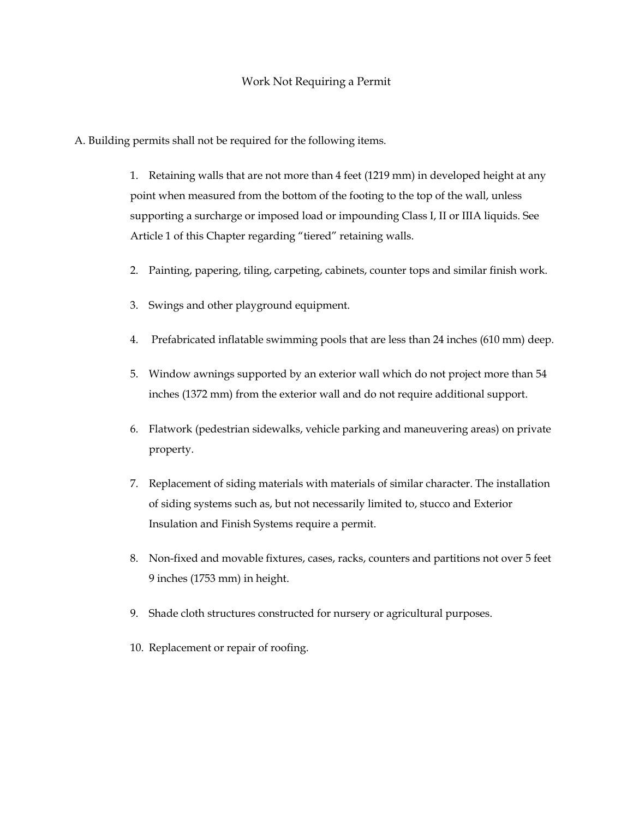A. Building permits shall not be required for the following items.

1. Retaining walls that are not more than 4 feet (1219 mm) in developed height at any point when measured from the bottom of the footing to the top of the wall, unless supporting a surcharge or imposed load or impounding Class I, II or IIIA liquids. See Article 1 of this Chapter regarding "tiered" retaining walls.

- 2. Painting, papering, tiling, carpeting, cabinets, counter tops and similar finish work.
- 3. Swings and other playground equipment.
- 4. Prefabricated inflatable swimming pools that are less than 24 inches (610 mm) deep.
- 5. Window awnings supported by an exterior wall which do not project more than 54 inches (1372 mm) from the exterior wall and do not require additional support.
- 6. Flatwork (pedestrian sidewalks, vehicle parking and maneuvering areas) on private property.
- 7. Replacement of siding materials with materials of similar character. The installation of siding systems such as, but not necessarily limited to, stucco and Exterior Insulation and Finish Systems require a permit.
- 8. Non-fixed and movable fixtures, cases, racks, counters and partitions not over 5 feet 9 inches (1753 mm) in height.
- 9. Shade cloth structures constructed for nursery or agricultural purposes.
- 10. Replacement or repair of roofing.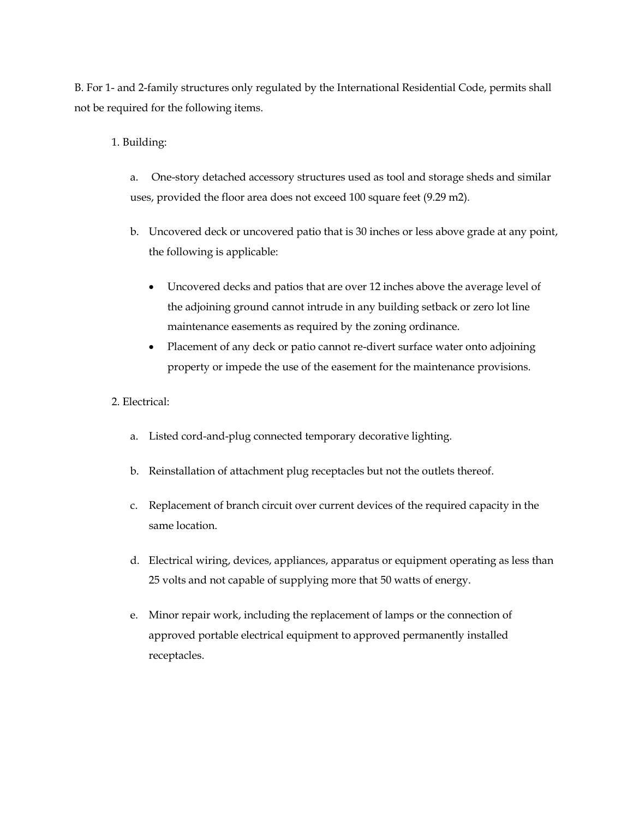B. For 1- and 2-family structures only regulated by the International Residential Code, permits shall not be required for the following items.

## 1. Building:

a. One-story detached accessory structures used as tool and storage sheds and similar uses, provided the floor area does not exceed 100 square feet (9.29 m2).

- b. Uncovered deck or uncovered patio that is 30 inches or less above grade at any point, the following is applicable:
	- Uncovered decks and patios that are over 12 inches above the average level of the adjoining ground cannot intrude in any building setback or zero lot line maintenance easements as required by the zoning ordinance.
	- Placement of any deck or patio cannot re-divert surface water onto adjoining property or impede the use of the easement for the maintenance provisions.

## 2. Electrical:

- a. Listed cord-and-plug connected temporary decorative lighting.
- b. Reinstallation of attachment plug receptacles but not the outlets thereof.
- c. Replacement of branch circuit over current devices of the required capacity in the same location.
- d. Electrical wiring, devices, appliances, apparatus or equipment operating as less than 25 volts and not capable of supplying more that 50 watts of energy.
- e. Minor repair work, including the replacement of lamps or the connection of approved portable electrical equipment to approved permanently installed receptacles.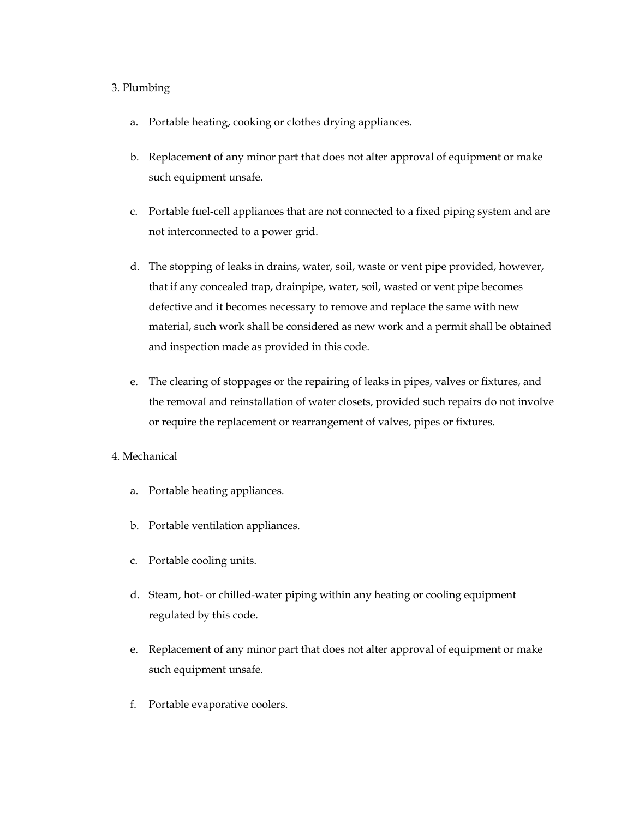## 3. Plumbing

- a. Portable heating, cooking or clothes drying appliances.
- b. Replacement of any minor part that does not alter approval of equipment or make such equipment unsafe.
- c. Portable fuel-cell appliances that are not connected to a fixed piping system and are not interconnected to a power grid.
- d. The stopping of leaks in drains, water, soil, waste or vent pipe provided, however, that if any concealed trap, drainpipe, water, soil, wasted or vent pipe becomes defective and it becomes necessary to remove and replace the same with new material, such work shall be considered as new work and a permit shall be obtained and inspection made as provided in this code.
- e. The clearing of stoppages or the repairing of leaks in pipes, valves or fixtures, and the removal and reinstallation of water closets, provided such repairs do not involve or require the replacement or rearrangement of valves, pipes or fixtures.
- 4. Mechanical
	- a. Portable heating appliances.
	- b. Portable ventilation appliances.
	- c. Portable cooling units.
	- d. Steam, hot- or chilled-water piping within any heating or cooling equipment regulated by this code.
	- e. Replacement of any minor part that does not alter approval of equipment or make such equipment unsafe.
	- f. Portable evaporative coolers.